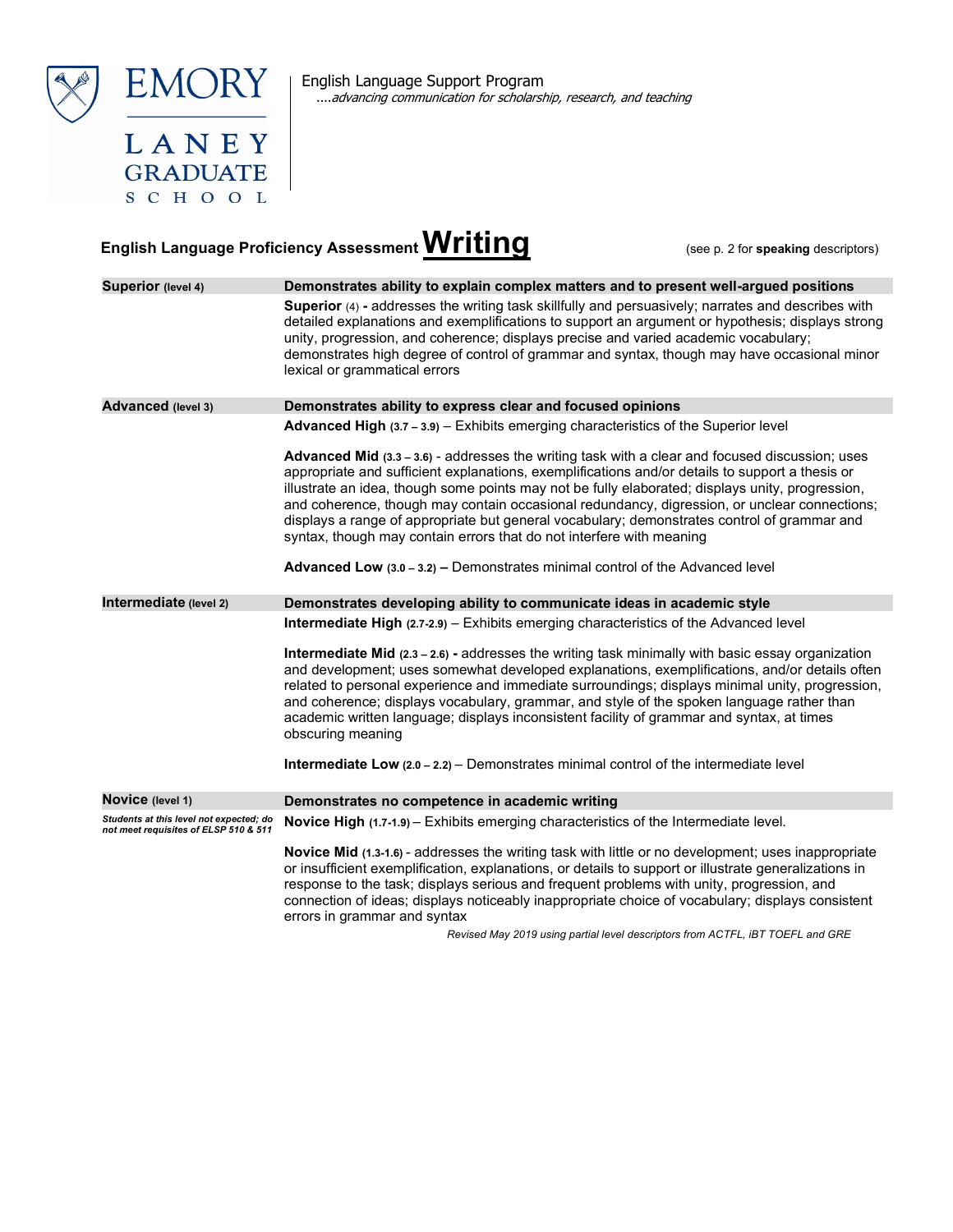



**GRADUATE** SCHOOL English Language Support Program ....advancing communication for scholarship, research, and teaching

## English Language Proficiency Assessment **Writing** (see p. 2 for speaking descriptors)

| <b>Superior</b> (level 4)                                                        | Demonstrates ability to explain complex matters and to present well-argued positions                                                                                                                                                                                                                                                                                                                                                                                                                                                                                                 |  |
|----------------------------------------------------------------------------------|--------------------------------------------------------------------------------------------------------------------------------------------------------------------------------------------------------------------------------------------------------------------------------------------------------------------------------------------------------------------------------------------------------------------------------------------------------------------------------------------------------------------------------------------------------------------------------------|--|
|                                                                                  | Superior (4) - addresses the writing task skillfully and persuasively; narrates and describes with<br>detailed explanations and exemplifications to support an argument or hypothesis; displays strong<br>unity, progression, and coherence; displays precise and varied academic vocabulary;<br>demonstrates high degree of control of grammar and syntax, though may have occasional minor<br>lexical or grammatical errors                                                                                                                                                        |  |
| Advanced (level 3)                                                               | Demonstrates ability to express clear and focused opinions                                                                                                                                                                                                                                                                                                                                                                                                                                                                                                                           |  |
|                                                                                  | <b>Advanced High <math>(3.7 - 3.9)</math></b> - Exhibits emerging characteristics of the Superior level                                                                                                                                                                                                                                                                                                                                                                                                                                                                              |  |
|                                                                                  | <b>Advanced Mid (3.3 – 3.6) - addresses the writing task with a clear and focused discussion; uses</b><br>appropriate and sufficient explanations, exemplifications and/or details to support a thesis or<br>illustrate an idea, though some points may not be fully elaborated; displays unity, progression,<br>and coherence, though may contain occasional redundancy, digression, or unclear connections;<br>displays a range of appropriate but general vocabulary; demonstrates control of grammar and<br>syntax, though may contain errors that do not interfere with meaning |  |
|                                                                                  | <b>Advanced Low</b> $(3.0 - 3.2)$ – Demonstrates minimal control of the Advanced level                                                                                                                                                                                                                                                                                                                                                                                                                                                                                               |  |
| Intermediate (level 2)                                                           | Demonstrates developing ability to communicate ideas in academic style                                                                                                                                                                                                                                                                                                                                                                                                                                                                                                               |  |
|                                                                                  | Intermediate High (2.7-2.9) - Exhibits emerging characteristics of the Advanced level                                                                                                                                                                                                                                                                                                                                                                                                                                                                                                |  |
|                                                                                  | <b>Intermediate Mid (2.3 – 2.6) - addresses the writing task minimally with basic essay organization</b><br>and development; uses somewhat developed explanations, exemplifications, and/or details often<br>related to personal experience and immediate surroundings; displays minimal unity, progression,<br>and coherence; displays vocabulary, grammar, and style of the spoken language rather than<br>academic written language; displays inconsistent facility of grammar and syntax, at times<br>obscuring meaning                                                          |  |
|                                                                                  | <b>Intermediate Low</b> $(2.0 - 2.2) -$ Demonstrates minimal control of the intermediate level                                                                                                                                                                                                                                                                                                                                                                                                                                                                                       |  |
| Novice (level 1)                                                                 | Demonstrates no competence in academic writing                                                                                                                                                                                                                                                                                                                                                                                                                                                                                                                                       |  |
| Students at this level not expected; do<br>not meet requisites of ELSP 510 & 511 | Novice High (1.7-1.9) - Exhibits emerging characteristics of the Intermediate level.                                                                                                                                                                                                                                                                                                                                                                                                                                                                                                 |  |
|                                                                                  | <b>Novice Mid (1.3-1.6)</b> - addresses the writing task with little or no development; uses inappropriate<br>or insufficient exemplification, explanations, or details to support or illustrate generalizations in<br>response to the task; displays serious and frequent problems with unity, progression, and<br>connection of ideas; displays noticeably inappropriate choice of vocabulary; displays consistent<br>errors in grammar and syntax<br>Revised May 2019 using partial level descriptors from ACTEL JBT TOEEL and CRE                                                |  |

Revised May 2019 using partial level descriptors from ACTFL, iBT TOEFL and GRE